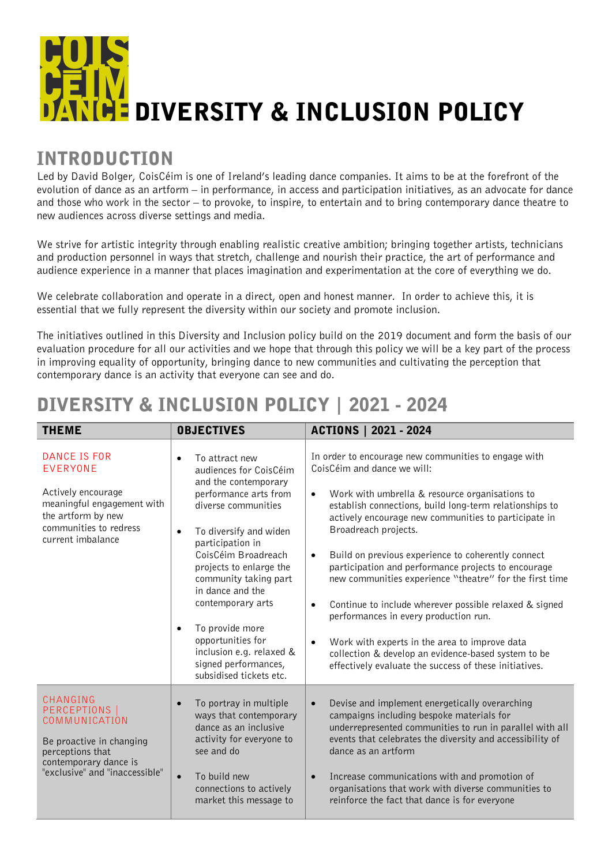## **HEDIVERSITY & INCLUSION POLICY**

## INTRODUCTION

Led by David Bolger, CoisCéim is one of Ireland's leading dance companies. It aims to be at the forefront of the evolution of dance as an artform – in performance, in access and participation initiatives, as an advocate for dance and those who work in the sector – to provoke, to inspire, to entertain and to bring contemporary dance theatre to new audiences across diverse settings and media.

We strive for artistic integrity through enabling realistic creative ambition; bringing together artists, technicians and production personnel in ways that stretch, challenge and nourish their practice, the art of performance and audience experience in a manner that places imagination and experimentation at the core of everything we do.

We celebrate collaboration and operate in a direct, open and honest manner. In order to achieve this, it is essential that we fully represent the diversity within our society and promote inclusion.

The initiatives outlined in this Diversity and Inclusion policy build on the 2019 document and form the basis of our evaluation procedure for all our activities and we hope that through this policy we will be a key part of the process in improving equality of opportunity, bringing dance to new communities and cultivating the perception that contemporary dance is an activity that everyone can see and do.

## THEME OBJECTIVES ACTIONS | 2021 - 2024 DANCE IS FOR EVERYONE Actively encourage meaningful engagement with the artform by new communities to redress current imbalance • To attract new audiences for CoisCéim and the contemporary performance arts from diverse communities • To diversify and widen participation in CoisCéim Broadreach projects to enlarge the community taking part in dance and the contemporary arts To provide more opportunities for inclusion e.g. relaxed & signed performances, subsidised tickets etc. In order to encourage new communities to engage with CoisCéim and dance we will: • Work with umbrella & resource organisations to establish connections, build long-term relationships to actively encourage new communities to participate in Broadreach projects. • Build on previous experience to coherently connect participation and performance projects to encourage new communities experience "theatre" for the first time • Continue to include wherever possible relaxed & signed performances in every production run. • Work with experts in the area to improve data collection & develop an evidence-based system to be effectively evaluate the success of these initiatives. CHANGING PERCEPTIONS COMMUNICATION Be proactive in changing perceptions that contemporary dance is "exclusive" and "inaccessible" • To portray in multiple ways that contemporary dance as an inclusive activity for everyone to see and do • To build new connections to actively market this message to • Devise and implement energetically overarching campaigns including bespoke materials for underrepresented communities to run in parallel with all events that celebrates the diversity and accessibility of dance as an artform • Increase communications with and promotion of organisations that work with diverse communities to reinforce the fact that dance is for everyone

## DIVERSITY & INCLUSION POLICY | 2021 - 2024